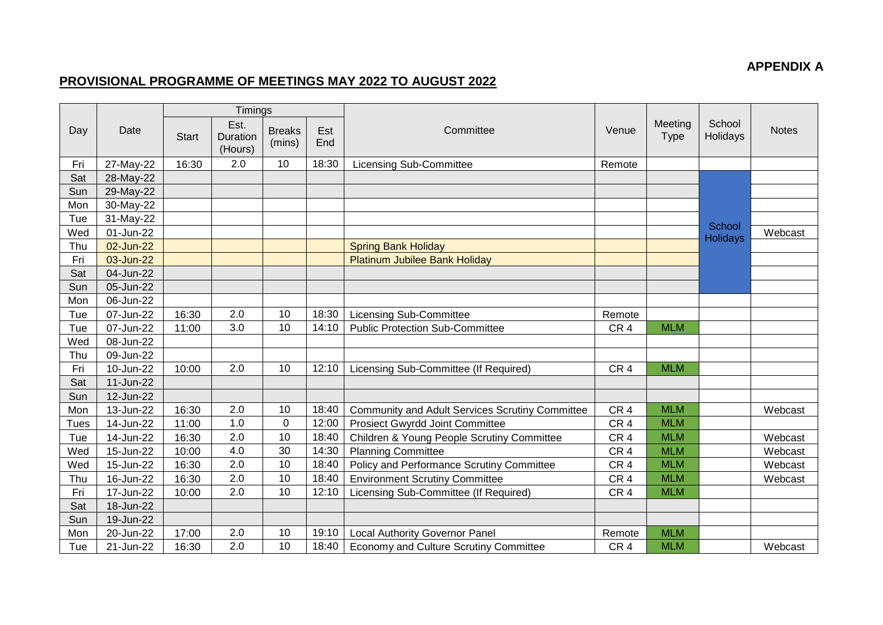## **APPENDIX A**

## **PROVISIONAL PROGRAMME OF MEETINGS MAY 2022 TO AUGUST 2022**

|             | Date      |              | Timings                     |                         |            | Committee                                              | Venue           | Meeting<br><b>Type</b> |                    |              |
|-------------|-----------|--------------|-----------------------------|-------------------------|------------|--------------------------------------------------------|-----------------|------------------------|--------------------|--------------|
| Day         |           | <b>Start</b> | Est.<br>Duration<br>(Hours) | <b>Breaks</b><br>(mins) | Est<br>End |                                                        |                 |                        | School<br>Holidays | <b>Notes</b> |
| Fri         | 27-May-22 | 16:30        | 2.0                         | 10                      | 18:30      | <b>Licensing Sub-Committee</b>                         | Remote          |                        |                    |              |
| Sat         | 28-May-22 |              |                             |                         |            |                                                        |                 |                        |                    |              |
| Sun         | 29-May-22 |              |                             |                         |            |                                                        |                 |                        |                    |              |
| Mon         | 30-May-22 |              |                             |                         |            |                                                        |                 |                        |                    |              |
| Tue         | 31-May-22 |              |                             |                         |            |                                                        |                 |                        | School             |              |
| Wed         | 01-Jun-22 |              |                             |                         |            |                                                        |                 |                        | <b>Holidays</b>    | Webcast      |
| Thu         | 02-Jun-22 |              |                             |                         |            | <b>Spring Bank Holiday</b>                             |                 |                        |                    |              |
| Fri         | 03-Jun-22 |              |                             |                         |            | <b>Platinum Jubilee Bank Holiday</b>                   |                 |                        |                    |              |
| Sat         | 04-Jun-22 |              |                             |                         |            |                                                        |                 |                        |                    |              |
| Sun         | 05-Jun-22 |              |                             |                         |            |                                                        |                 |                        |                    |              |
| Mon         | 06-Jun-22 |              |                             |                         |            |                                                        |                 |                        |                    |              |
| Tue         | 07-Jun-22 | 16:30        | 2.0                         | 10                      | 18:30      | <b>Licensing Sub-Committee</b>                         | Remote          |                        |                    |              |
| Tue         | 07-Jun-22 | 11:00        | 3.0                         | 10                      | 14:10      | <b>Public Protection Sub-Committee</b>                 | CR <sub>4</sub> | <b>MLM</b>             |                    |              |
| Wed         | 08-Jun-22 |              |                             |                         |            |                                                        |                 |                        |                    |              |
| Thu         | 09-Jun-22 |              |                             |                         |            |                                                        |                 |                        |                    |              |
| Fri         | 10-Jun-22 | 10:00        | 2.0                         | 10                      | 12:10      | Licensing Sub-Committee (If Required)                  | CR <sub>4</sub> | <b>MLM</b>             |                    |              |
| Sat         | 11-Jun-22 |              |                             |                         |            |                                                        |                 |                        |                    |              |
| Sun         | 12-Jun-22 |              |                             |                         |            |                                                        |                 |                        |                    |              |
| Mon         | 13-Jun-22 | 16:30        | 2.0                         | 10                      | 18:40      | <b>Community and Adult Services Scrutiny Committee</b> | CR <sub>4</sub> | <b>MLM</b>             |                    | Webcast      |
| <b>Tues</b> | 14-Jun-22 | 11:00        | 1.0                         | $\mathbf 0$             | 12:00      | <b>Prosiect Gwyrdd Joint Committee</b>                 | CR <sub>4</sub> | <b>MLM</b>             |                    |              |
| Tue         | 14-Jun-22 | 16:30        | 2.0                         | 10                      | 18:40      | Children & Young People Scrutiny Committee             | CR <sub>4</sub> | <b>MLM</b>             |                    | Webcast      |
| Wed         | 15-Jun-22 | 10:00        | 4.0                         | 30                      | 14:30      | <b>Planning Committee</b>                              | CR <sub>4</sub> | <b>MLM</b>             |                    | Webcast      |
| Wed         | 15-Jun-22 | 16:30        | 2.0                         | 10                      | 18:40      | Policy and Performance Scrutiny Committee              | CR <sub>4</sub> | <b>MLM</b>             |                    | Webcast      |
| Thu         | 16-Jun-22 | 16:30        | 2.0                         | 10                      | 18:40      | <b>Environment Scrutiny Committee</b>                  | CR <sub>4</sub> | <b>MLM</b>             |                    | Webcast      |
| Fri         | 17-Jun-22 | 10:00        | 2.0                         | 10                      | 12:10      | Licensing Sub-Committee (If Required)                  | CR <sub>4</sub> | <b>MLM</b>             |                    |              |
| Sat         | 18-Jun-22 |              |                             |                         |            |                                                        |                 |                        |                    |              |
| Sun         | 19-Jun-22 |              |                             |                         |            |                                                        |                 |                        |                    |              |
| Mon         | 20-Jun-22 | 17:00        | 2.0                         | 10                      | 19:10      | <b>Local Authority Governor Panel</b>                  | Remote          | <b>MLM</b>             |                    |              |
| Tue         | 21-Jun-22 | 16:30        | 2.0                         | 10                      | 18:40      | Economy and Culture Scrutiny Committee                 | CR <sub>4</sub> | <b>MLM</b>             |                    | Webcast      |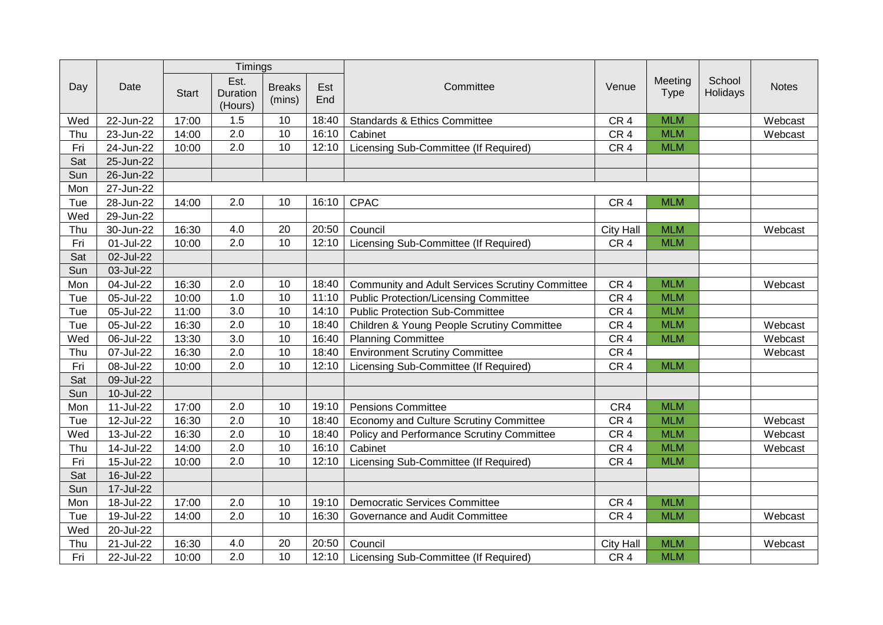|     |           | Timings      |                             |                         |            |                                                 |                  |                        |                    |              |
|-----|-----------|--------------|-----------------------------|-------------------------|------------|-------------------------------------------------|------------------|------------------------|--------------------|--------------|
| Day | Date      | <b>Start</b> | Est.<br>Duration<br>(Hours) | <b>Breaks</b><br>(mins) | Est<br>End | Committee                                       | Venue            | Meeting<br><b>Type</b> | School<br>Holidays | <b>Notes</b> |
| Wed | 22-Jun-22 | 17:00        | 1.5                         | 10                      | 18:40      | Standards & Ethics Committee                    | CR <sub>4</sub>  | <b>MLM</b>             |                    | Webcast      |
| Thu | 23-Jun-22 | 14:00        | 2.0                         | 10                      | 16:10      | Cabinet                                         | CR <sub>4</sub>  | <b>MLM</b>             |                    | Webcast      |
| Fri | 24-Jun-22 | 10:00        | 2.0                         | 10                      | 12:10      | Licensing Sub-Committee (If Required)           | CR <sub>4</sub>  | <b>MLM</b>             |                    |              |
| Sat | 25-Jun-22 |              |                             |                         |            |                                                 |                  |                        |                    |              |
| Sun | 26-Jun-22 |              |                             |                         |            |                                                 |                  |                        |                    |              |
| Mon | 27-Jun-22 |              |                             |                         |            |                                                 |                  |                        |                    |              |
| Tue | 28-Jun-22 | 14:00        | 2.0                         | 10                      | 16:10      | <b>CPAC</b>                                     | CR <sub>4</sub>  | <b>MLM</b>             |                    |              |
| Wed | 29-Jun-22 |              |                             |                         |            |                                                 |                  |                        |                    |              |
| Thu | 30-Jun-22 | 16:30        | 4.0                         | 20                      | 20:50      | Council                                         | <b>City Hall</b> | <b>MLM</b>             |                    | Webcast      |
| Fri | 01-Jul-22 | 10:00        | 2.0                         | 10                      | 12:10      | Licensing Sub-Committee (If Required)           | CR <sub>4</sub>  | <b>MLM</b>             |                    |              |
| Sat | 02-Jul-22 |              |                             |                         |            |                                                 |                  |                        |                    |              |
| Sun | 03-Jul-22 |              |                             |                         |            |                                                 |                  |                        |                    |              |
| Mon | 04-Jul-22 | 16:30        | 2.0                         | 10                      | 18:40      | Community and Adult Services Scrutiny Committee | CR <sub>4</sub>  | <b>MLM</b>             |                    | Webcast      |
| Tue | 05-Jul-22 | 10:00        | 1.0                         | 10                      | 11:10      | <b>Public Protection/Licensing Committee</b>    | CR <sub>4</sub>  | <b>MLM</b>             |                    |              |
| Tue | 05-Jul-22 | 11:00        | 3.0                         | 10                      | 14:10      | <b>Public Protection Sub-Committee</b>          | CR <sub>4</sub>  | <b>MLM</b>             |                    |              |
| Tue | 05-Jul-22 | 16:30        | 2.0                         | 10                      | 18:40      | Children & Young People Scrutiny Committee      | CR <sub>4</sub>  | <b>MLM</b>             |                    | Webcast      |
| Wed | 06-Jul-22 | 13:30        | 3.0                         | 10                      | 16:40      | <b>Planning Committee</b>                       | CR <sub>4</sub>  | <b>MLM</b>             |                    | Webcast      |
| Thu | 07-Jul-22 | 16:30        | $\overline{2.0}$            | 10                      | 18:40      | <b>Environment Scrutiny Committee</b>           | CR <sub>4</sub>  |                        |                    | Webcast      |
| Fri | 08-Jul-22 | 10:00        | 2.0                         | 10                      | 12:10      | Licensing Sub-Committee (If Required)           | CR <sub>4</sub>  | <b>MLM</b>             |                    |              |
| Sat | 09-Jul-22 |              |                             |                         |            |                                                 |                  |                        |                    |              |
| Sun | 10-Jul-22 |              |                             |                         |            |                                                 |                  |                        |                    |              |
| Mon | 11-Jul-22 | 17:00        | 2.0                         | 10                      | 19:10      | <b>Pensions Committee</b>                       | CR4              | <b>MLM</b>             |                    |              |
| Tue | 12-Jul-22 | 16:30        | 2.0                         | 10                      | 18:40      | Economy and Culture Scrutiny Committee          | CR <sub>4</sub>  | <b>MLM</b>             |                    | Webcast      |
| Wed | 13-Jul-22 | 16:30        | 2.0                         | 10                      | 18:40      | Policy and Performance Scrutiny Committee       | CR <sub>4</sub>  | <b>MLM</b>             |                    | Webcast      |
| Thu | 14-Jul-22 | 14:00        | 2.0                         | 10                      | 16:10      | Cabinet                                         | CR <sub>4</sub>  | <b>MLM</b>             |                    | Webcast      |
| Fri | 15-Jul-22 | 10:00        | $\overline{2.0}$            | $\overline{10}$         | 12:10      | Licensing Sub-Committee (If Required)           | CR <sub>4</sub>  | <b>MLM</b>             |                    |              |
| Sat | 16-Jul-22 |              |                             |                         |            |                                                 |                  |                        |                    |              |
| Sun | 17-Jul-22 |              |                             |                         |            |                                                 |                  |                        |                    |              |
| Mon | 18-Jul-22 | 17:00        | 2.0                         | 10                      | 19:10      | <b>Democratic Services Committee</b>            | CR <sub>4</sub>  | <b>MLM</b>             |                    |              |
| Tue | 19-Jul-22 | 14:00        | 2.0                         | 10                      | 16:30      | Governance and Audit Committee                  | CR <sub>4</sub>  | <b>MLM</b>             |                    | Webcast      |
| Wed | 20-Jul-22 |              |                             |                         |            |                                                 |                  |                        |                    |              |
| Thu | 21-Jul-22 | 16:30        | 4.0                         | 20                      | 20:50      | Council                                         | <b>City Hall</b> | <b>MLM</b>             |                    | Webcast      |
| Fri | 22-Jul-22 | 10:00        | 2.0                         | 10                      | 12:10      | Licensing Sub-Committee (If Required)           | CR <sub>4</sub>  | <b>MLM</b>             |                    |              |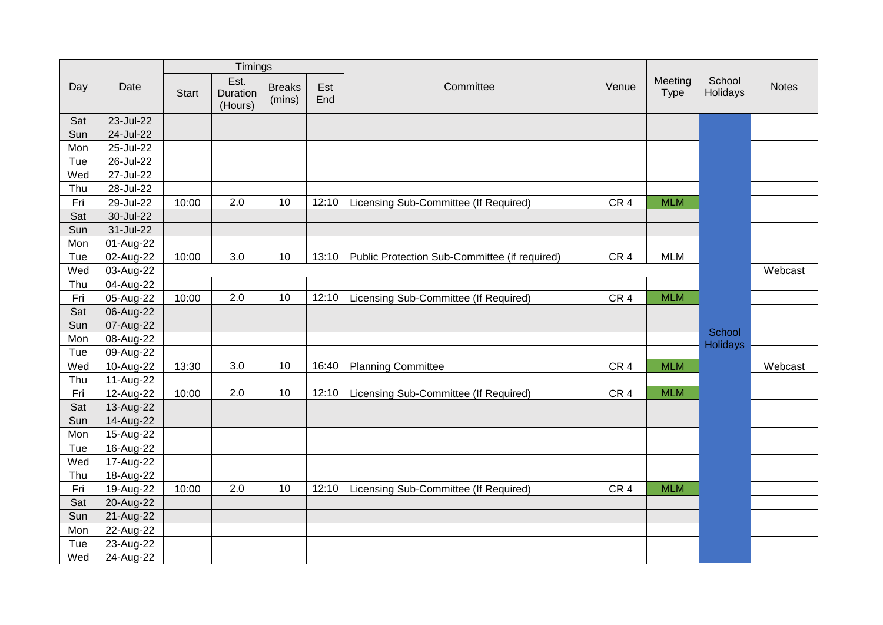|     | Date      |              | Timings                     |                         |            | Committee                                     |                 | Meeting<br>Type | School<br>Holidays |              |
|-----|-----------|--------------|-----------------------------|-------------------------|------------|-----------------------------------------------|-----------------|-----------------|--------------------|--------------|
| Day |           | <b>Start</b> | Est.<br>Duration<br>(Hours) | <b>Breaks</b><br>(mins) | Est<br>End |                                               | Venue           |                 |                    | <b>Notes</b> |
| Sat | 23-Jul-22 |              |                             |                         |            |                                               |                 |                 |                    |              |
| Sun | 24-Jul-22 |              |                             |                         |            |                                               |                 |                 |                    |              |
| Mon | 25-Jul-22 |              |                             |                         |            |                                               |                 |                 |                    |              |
| Tue | 26-Jul-22 |              |                             |                         |            |                                               |                 |                 |                    |              |
| Wed | 27-Jul-22 |              |                             |                         |            |                                               |                 |                 |                    |              |
| Thu | 28-Jul-22 |              |                             |                         |            |                                               |                 |                 |                    |              |
| Fri | 29-Jul-22 | 10:00        | 2.0                         | 10                      | 12:10      | Licensing Sub-Committee (If Required)         | CR <sub>4</sub> | <b>MLM</b>      |                    |              |
| Sat | 30-Jul-22 |              |                             |                         |            |                                               |                 |                 |                    |              |
| Sun | 31-Jul-22 |              |                             |                         |            |                                               |                 |                 |                    |              |
| Mon | 01-Aug-22 |              |                             |                         |            |                                               |                 |                 |                    |              |
| Tue | 02-Aug-22 | 10:00        | 3.0                         | 10                      | 13:10      | Public Protection Sub-Committee (if required) | CR <sub>4</sub> | <b>MLM</b>      |                    |              |
| Wed | 03-Aug-22 |              |                             |                         |            |                                               |                 |                 |                    | Webcast      |
| Thu | 04-Aug-22 |              |                             |                         |            |                                               |                 |                 |                    |              |
| Fri | 05-Aug-22 | 10:00        | 2.0                         | 10                      | 12:10      | Licensing Sub-Committee (If Required)         | CR <sub>4</sub> | <b>MLM</b>      |                    |              |
| Sat | 06-Aug-22 |              |                             |                         |            |                                               |                 |                 |                    |              |
| Sun | 07-Aug-22 |              |                             |                         |            |                                               |                 |                 |                    |              |
| Mon | 08-Aug-22 |              |                             |                         |            |                                               |                 |                 | School<br>Holidays |              |
| Tue | 09-Aug-22 |              |                             |                         |            |                                               |                 |                 |                    |              |
| Wed | 10-Aug-22 | 13:30        | 3.0                         | 10                      | 16:40      | <b>Planning Committee</b>                     | CR <sub>4</sub> | <b>MLM</b>      |                    | Webcast      |
| Thu | 11-Aug-22 |              |                             |                         |            |                                               |                 |                 |                    |              |
| Fri | 12-Aug-22 | 10:00        | 2.0                         | 10                      | 12:10      | Licensing Sub-Committee (If Required)         | CR <sub>4</sub> | <b>MLM</b>      |                    |              |
| Sat | 13-Aug-22 |              |                             |                         |            |                                               |                 |                 |                    |              |
| Sun | 14-Aug-22 |              |                             |                         |            |                                               |                 |                 |                    |              |
| Mon | 15-Aug-22 |              |                             |                         |            |                                               |                 |                 |                    |              |
| Tue | 16-Aug-22 |              |                             |                         |            |                                               |                 |                 |                    |              |
| Wed | 17-Aug-22 |              |                             |                         |            |                                               |                 |                 |                    |              |
| Thu | 18-Aug-22 |              |                             |                         |            |                                               |                 |                 |                    |              |
| Fri | 19-Aug-22 | 10:00        | 2.0                         | 10                      | 12:10      | Licensing Sub-Committee (If Required)         | CR <sub>4</sub> | <b>MLM</b>      |                    |              |
| Sat | 20-Aug-22 |              |                             |                         |            |                                               |                 |                 |                    |              |
| Sun | 21-Aug-22 |              |                             |                         |            |                                               |                 |                 |                    |              |
| Mon | 22-Aug-22 |              |                             |                         |            |                                               |                 |                 |                    |              |
| Tue | 23-Aug-22 |              |                             |                         |            |                                               |                 |                 |                    |              |
| Wed | 24-Aug-22 |              |                             |                         |            |                                               |                 |                 |                    |              |